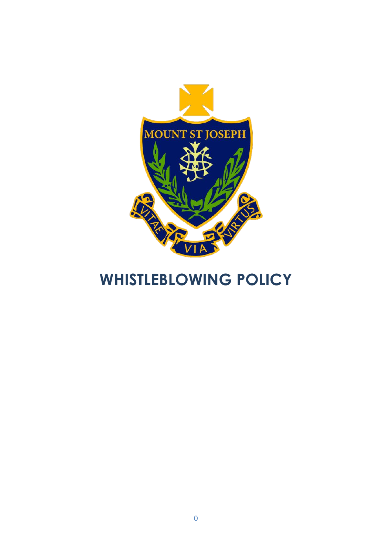

# **WHISTLEBLOWING POLICY**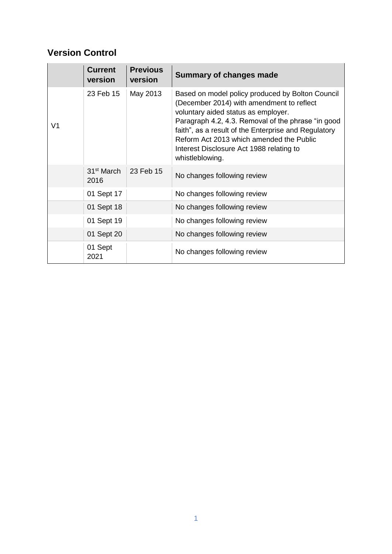### **Version Control**

|    | <b>Current</b><br>version      | <b>Previous</b><br>version | <b>Summary of changes made</b>                                                                                                                                                                                                                                                                                                                                |  |
|----|--------------------------------|----------------------------|---------------------------------------------------------------------------------------------------------------------------------------------------------------------------------------------------------------------------------------------------------------------------------------------------------------------------------------------------------------|--|
| V1 | 23 Feb 15                      | May 2013                   | Based on model policy produced by Bolton Council<br>(December 2014) with amendment to reflect<br>voluntary aided status as employer.<br>Paragraph 4.2, 4.3. Removal of the phrase "in good<br>faith", as a result of the Enterprise and Regulatory<br>Reform Act 2013 which amended the Public<br>Interest Disclosure Act 1988 relating to<br>whistleblowing. |  |
|    | 31 <sup>st</sup> March<br>2016 | 23 Feb 15                  | No changes following review                                                                                                                                                                                                                                                                                                                                   |  |
|    | 01 Sept 17                     |                            | No changes following review                                                                                                                                                                                                                                                                                                                                   |  |
|    | 01 Sept 18                     |                            | No changes following review                                                                                                                                                                                                                                                                                                                                   |  |
|    | 01 Sept 19                     |                            | No changes following review                                                                                                                                                                                                                                                                                                                                   |  |
|    | 01 Sept 20                     |                            | No changes following review                                                                                                                                                                                                                                                                                                                                   |  |
|    | 01 Sept<br>2021                |                            | No changes following review                                                                                                                                                                                                                                                                                                                                   |  |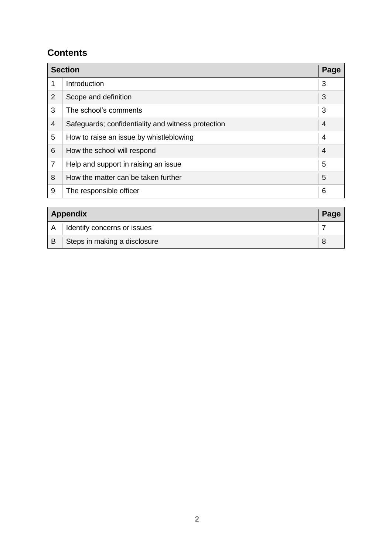### **Contents**

| <b>Section</b><br>Page |                                                    |                |  |  |
|------------------------|----------------------------------------------------|----------------|--|--|
| 1                      | Introduction                                       | 3              |  |  |
| $\overline{2}$         | Scope and definition                               | 3              |  |  |
| 3                      | The school's comments                              | 3              |  |  |
| $\overline{4}$         | Safeguards; confidentiality and witness protection | $\overline{4}$ |  |  |
| 5                      | How to raise an issue by whistleblowing            | 4              |  |  |
| 6                      | How the school will respond                        | 4              |  |  |
| $\overline{7}$         | Help and support in raising an issue               | 5              |  |  |
| 8                      | How the matter can be taken further                | 5              |  |  |
| 9                      | The responsible officer                            | 6              |  |  |

|              | Appendix                     |  |
|--------------|------------------------------|--|
| $\mathsf{A}$ | Identify concerns or issues  |  |
| B            | Steps in making a disclosure |  |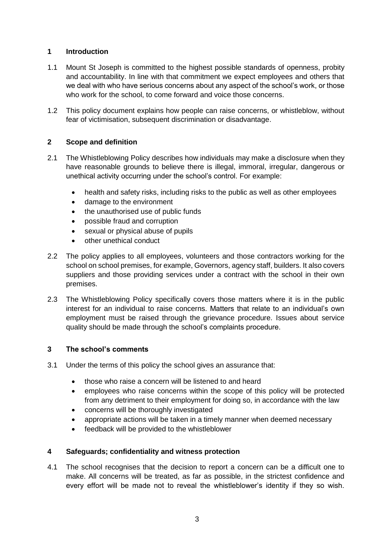#### **1 Introduction**

- 1.1 Mount St Joseph is committed to the highest possible standards of openness, probity and accountability. In line with that commitment we expect employees and others that we deal with who have serious concerns about any aspect of the school's work, or those who work for the school, to come forward and voice those concerns.
- 1.2 This policy document explains how people can raise concerns, or whistleblow, without fear of victimisation, subsequent discrimination or disadvantage.

#### **2 Scope and definition**

- 2.1 The Whistleblowing Policy describes how individuals may make a disclosure when they have reasonable grounds to believe there is illegal, immoral, irregular, dangerous or unethical activity occurring under the school's control. For example:
	- health and safety risks, including risks to the public as well as other employees
	- damage to the environment
	- the unauthorised use of public funds
	- possible fraud and corruption
	- sexual or physical abuse of pupils
	- other unethical conduct
- 2.2 The policy applies to all employees, volunteers and those contractors working for the school on school premises, for example, Governors, agency staff, builders. It also covers suppliers and those providing services under a contract with the school in their own premises.
- 2.3 The Whistleblowing Policy specifically covers those matters where it is in the public interest for an individual to raise concerns. Matters that relate to an individual's own employment must be raised through the grievance procedure. Issues about service quality should be made through the school's complaints procedure.

#### **3 The school's comments**

- 3.1 Under the terms of this policy the school gives an assurance that:
	- those who raise a concern will be listened to and heard
	- employees who raise concerns within the scope of this policy will be protected from any detriment to their employment for doing so, in accordance with the law
	- concerns will be thoroughly investigated
	- appropriate actions will be taken in a timely manner when deemed necessary
	- feedback will be provided to the whistleblower

#### **4 Safeguards; confidentiality and witness protection**

4.1 The school recognises that the decision to report a concern can be a difficult one to make. All concerns will be treated, as far as possible, in the strictest confidence and every effort will be made not to reveal the whistleblower's identity if they so wish.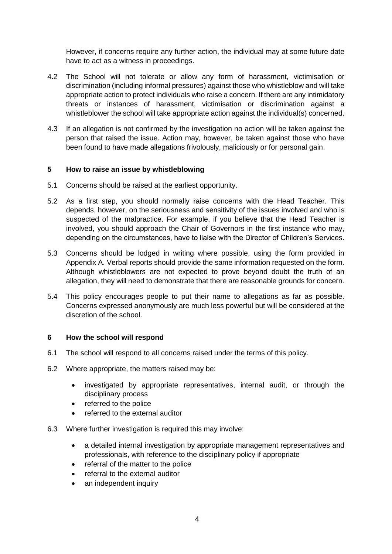However, if concerns require any further action, the individual may at some future date have to act as a witness in proceedings.

- 4.2 The School will not tolerate or allow any form of harassment, victimisation or discrimination (including informal pressures) against those who whistleblow and will take appropriate action to protect individuals who raise a concern. If there are any intimidatory threats or instances of harassment, victimisation or discrimination against a whistleblower the school will take appropriate action against the individual(s) concerned.
- 4.3 If an allegation is not confirmed by the investigation no action will be taken against the person that raised the issue. Action may, however, be taken against those who have been found to have made allegations frivolously, maliciously or for personal gain.

#### **5 How to raise an issue by whistleblowing**

- 5.1 Concerns should be raised at the earliest opportunity.
- 5.2 As a first step, you should normally raise concerns with the Head Teacher. This depends, however, on the seriousness and sensitivity of the issues involved and who is suspected of the malpractice. For example, if you believe that the Head Teacher is involved, you should approach the Chair of Governors in the first instance who may, depending on the circumstances, have to liaise with the Director of Children's Services.
- 5.3 Concerns should be lodged in writing where possible, using the form provided in Appendix A. Verbal reports should provide the same information requested on the form. Although whistleblowers are not expected to prove beyond doubt the truth of an allegation, they will need to demonstrate that there are reasonable grounds for concern.
- 5.4 This policy encourages people to put their name to allegations as far as possible. Concerns expressed anonymously are much less powerful but will be considered at the discretion of the school.

#### **6 How the school will respond**

- 6.1 The school will respond to all concerns raised under the terms of this policy.
- 6.2 Where appropriate, the matters raised may be:
	- investigated by appropriate representatives, internal audit, or through the disciplinary process
	- referred to the police
	- referred to the external auditor
- 6.3 Where further investigation is required this may involve:
	- a detailed internal investigation by appropriate management representatives and professionals, with reference to the disciplinary policy if appropriate
	- referral of the matter to the police
	- referral to the external auditor
	- an independent inquiry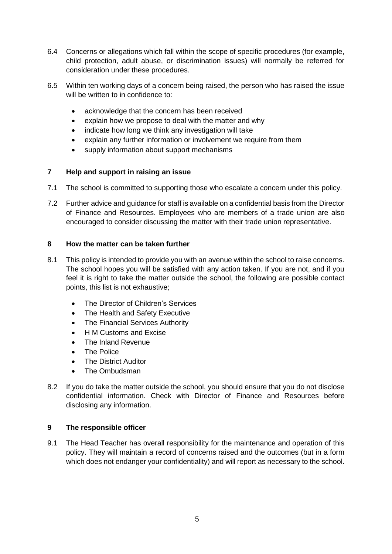- 6.4 Concerns or allegations which fall within the scope of specific procedures (for example, child protection, adult abuse, or discrimination issues) will normally be referred for consideration under these procedures.
- 6.5 Within ten working days of a concern being raised, the person who has raised the issue will be written to in confidence to:
	- acknowledge that the concern has been received
	- explain how we propose to deal with the matter and why
	- indicate how long we think any investigation will take
	- explain any further information or involvement we require from them
	- supply information about support mechanisms

#### **7 Help and support in raising an issue**

- 7.1 The school is committed to supporting those who escalate a concern under this policy.
- 7.2 Further advice and guidance for staff is available on a confidential basis from the Director of Finance and Resources. Employees who are members of a trade union are also encouraged to consider discussing the matter with their trade union representative.

#### **8 How the matter can be taken further**

- 8.1 This policy is intended to provide you with an avenue within the school to raise concerns. The school hopes you will be satisfied with any action taken. If you are not, and if you feel it is right to take the matter outside the school, the following are possible contact points, this list is not exhaustive;
	- The Director of Children's Services
	- The Health and Safety Executive
	- The Financial Services Authority
	- H M Customs and Excise
	- The Inland Revenue
	- The Police
	- The District Auditor
	- The Ombudsman
- 8.2 If you do take the matter outside the school, you should ensure that you do not disclose confidential information. Check with Director of Finance and Resources before disclosing any information.

#### **9 The responsible officer**

9.1 The Head Teacher has overall responsibility for the maintenance and operation of this policy. They will maintain a record of concerns raised and the outcomes (but in a form which does not endanger your confidentiality) and will report as necessary to the school.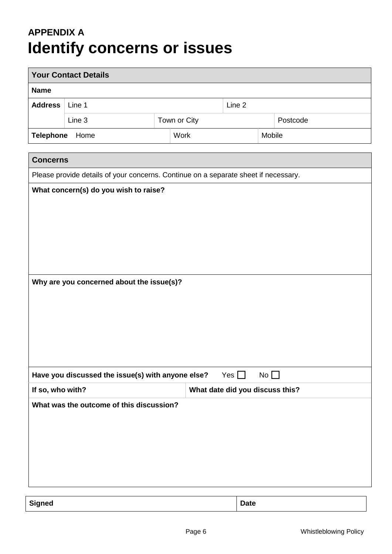## **APPENDIX A Identify concerns or issues**

| <b>Your Contact Details</b>                                                        |                                                                                     |              |            |              |          |  |  |  |
|------------------------------------------------------------------------------------|-------------------------------------------------------------------------------------|--------------|------------|--------------|----------|--|--|--|
| <b>Name</b>                                                                        |                                                                                     |              |            |              |          |  |  |  |
| <b>Address</b>                                                                     | Line 1                                                                              | Line 2       |            |              |          |  |  |  |
|                                                                                    | Line 3                                                                              | Town or City |            |              | Postcode |  |  |  |
| Telephone Home                                                                     |                                                                                     | Work         |            | Mobile       |          |  |  |  |
|                                                                                    |                                                                                     |              |            |              |          |  |  |  |
| <b>Concerns</b>                                                                    |                                                                                     |              |            |              |          |  |  |  |
|                                                                                    | Please provide details of your concerns. Continue on a separate sheet if necessary. |              |            |              |          |  |  |  |
| What concern(s) do you wish to raise?<br>Why are you concerned about the issue(s)? |                                                                                     |              |            |              |          |  |  |  |
|                                                                                    | Have you discussed the issue(s) with anyone else?                                   |              | Yes $\Box$ | No $\square$ |          |  |  |  |
| If so, who with?<br>What date did you discuss this?                                |                                                                                     |              |            |              |          |  |  |  |
|                                                                                    | What was the outcome of this discussion?                                            |              |            |              |          |  |  |  |

**Signed Date**